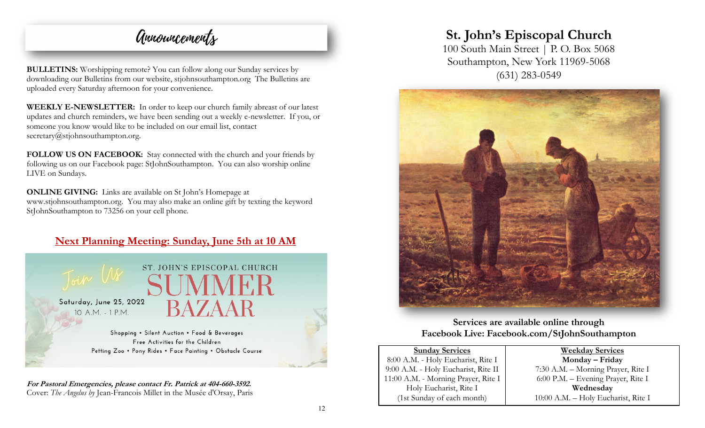Gunouncements

**BULLETINS:** Worshipping remote? You can follow along our Sunday services by downloading our Bulletins from our website, stjohnsouthampton.org The Bulletins are uploaded every Saturday afternoon for your convenience.

**WEEKLY E-NEWSLETTER:** In order to keep our church family abreast of our latest updates and church reminders, we have been sending out a weekly e-newsletter. If you, or someone you know would like to be included on our email list, contact secretary@stjohnsouthampton.org.

**FOLLOW US ON FACEBOOK:** Stay connected with the church and your friends by following us on our Facebook page: StJohnSouthampton. You can also worship online LIVE on Sundays.

**ONLINE GIVING:** Links are available on St John's Homepage at www.stjohnsouthampton.org. You may also make an online gift by texting the keyword StJohnSouthampton to 73256 on your cell phone.



**For Pastoral Emergencies, please contact Fr. Patrick at 404-660-3592.** Cover: *The Angelus by* Jean-Francois Millet in the Musée d'Orsay, Paris

# **St. John's Episcopal Church**

100 South Main Street | P. O. Box 5068 Southampton, New York 11969-5068 (631) 283-0549



**Services are available online through Facebook Live: [Facebook.com/StJohnSouthampton](https://www.facebook.com/StJohnSouthampton/)**

**Sunday Services** 8:00 A.M. - Holy Eucharist, Rite I 9:00 A.M. - Holy Eucharist, Rite II 11:00 A.M. - Morning Prayer, Rite I Holy Eucharist, Rite I (1st Sunday of each month)

**Weekday Services Monday – Friday** 7:30 A.M. – Morning Prayer, Rite I 6:00 P.M. – Evening Prayer, Rite I **Wednesday** 10:00 A.M. – Holy Eucharist, Rite I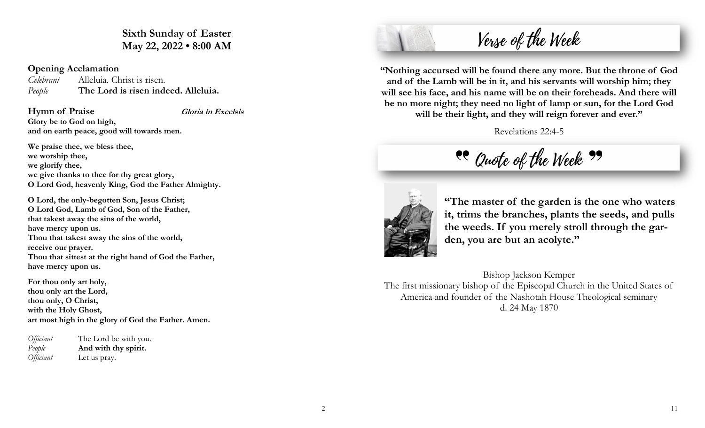**Sixth Sunday of Easter May 22, 2022 • 8:00 AM** 

**Opening Acclamation**

*Celebrant* Alleluia. Christ is risen. *People* **The Lord is risen indeed. Alleluia.** 

**Hymn of Praise Gloria in Excelsis** 

**Glory be to God on high, and on earth peace, good will towards men.**

**We praise thee, we bless thee, we worship thee, we glorify thee, we give thanks to thee for thy great glory, O Lord God, heavenly King, God the Father Almighty.**

**O Lord, the only-begotten Son, Jesus Christ; O Lord God, Lamb of God, Son of the Father, that takest away the sins of the world, have mercy upon us. Thou that takest away the sins of the world, receive our prayer. Thou that sittest at the right hand of God the Father, have mercy upon us.**

**For thou only art holy, thou only art the Lord, thou only, O Christ, with the Holy Ghost, art most high in the glory of God the Father. Amen.**

*Officiant* The Lord be with you. *People* **And with thy spirit.** *Officiant* Let us pray.

Verse of the Week

**"Nothing accursed will be found there any more. But the throne of God and of the Lamb will be in it, and his servants will worship him; they will see his face, and his name will be on their foreheads. And there will be no more night; they need no light of lamp or sun, for the Lord God will be their light, and they will reign forever and ever."** 

Revelations 22:4-5

ee Quote of the Week ??



**"The master of the garden is the one who waters it, trims the branches, plants the seeds, and pulls the weeds. If you merely stroll through the garden, you are but an acolyte."** 

Bishop Jackson Kemper The first missionary bishop of the Episcopal Church in the United States of America and founder of the Nashotah House Theological seminary d. 24 May 1870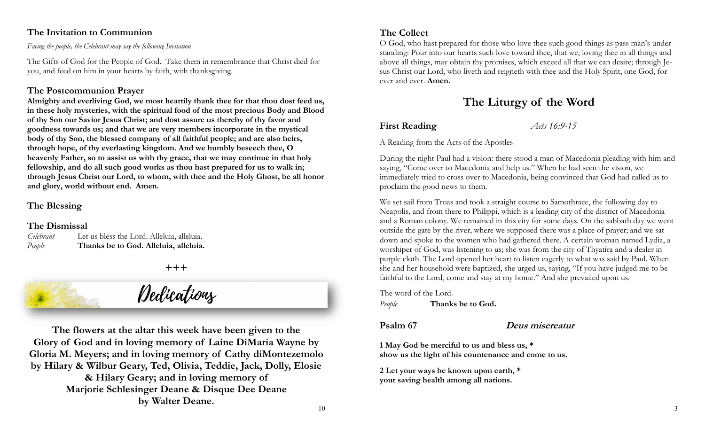#### **The Invitation to Communion**

*Facing the people, the Celebrant may say the following Invitation* 

The Gifts of God for the People of God. Take them in remembrance that Christ died for you, and feed on him in your hearts by faith, with thanksgiving.

#### **The Postcommunion Prayer**

**Almighty and everliving God, we most heartily thank thee for that thou dost feed us, in these holy mysteries, with the spiritual food of the most precious Body and Blood of thy Son our Savior Jesus Christ; and dost assure us thereby of thy favor and goodness towards us; and that we are very members incorporate in the mystical body of thy Son, the blessed company of all faithful people; and are also heirs, through hope, of thy everlasting kingdom. And we humbly beseech thee, O heavenly Father, so to assist us with thy grace, that we may continue in that holy fellowship, and do all such good works as thou hast prepared for us to walk in; through Jesus Christ our Lord, to whom, with thee and the Holy Ghost, be all honor and glory, world without end. Amen.**

#### **The Blessing**

#### **The Dismissal**

*Celebrant* Let us bless the Lord. Alleluia, alleluia. *People* **Thanks be to God. Alleluia, alleluia.** 

**+++**



# Dedications

**The flowers at the altar this week have been given to the Glory of God and in loving memory of Laine DiMaria Wayne by Gloria M. Meyers; and in loving memory of Cathy diMontezemolo by Hilary & Wilbur Geary, Ted, Olivia, Teddie, Jack, Dolly, Elosie & Hilary Geary; and in loving memory of Marjorie Schlesinger Deane & Disque Dee Deane by Walter Deane.**

#### **The Collect**

O God, who hast prepared for those who love thee such good things as pass man's understanding: Pour into our hearts such love toward thee, that we, loving thee in all things and above all things, may obtain thy promises, which exceed all that we can desire; through Jesus Christ our Lord, who liveth and reigneth with thee and the Holy Spirit, one God, for ever and ever. **Amen.**

## **The Liturgy of the Word**

**First Reading** *Acts 16:9-15*

A Reading from the Acts of the Apostles

During the night Paul had a vision: there stood a man of Macedonia pleading with him and saying, "Come over to Macedonia and help us." When he had seen the vision, we immediately tried to cross over to Macedonia, being convinced that God had called us to proclaim the good news to them.

We set sail from Troas and took a straight course to Samothrace, the following day to Neapolis, and from there to Philippi, which is a leading city of the district of Macedonia and a Roman colony. We remained in this city for some days. On the sabbath day we went outside the gate by the river, where we supposed there was a place of prayer; and we sat down and spoke to the women who had gathered there. A certain woman named Lydia, a worshiper of God, was listening to us; she was from the city of Thyatira and a dealer in purple cloth. The Lord opened her heart to listen eagerly to what was said by Paul. When she and her household were baptized, she urged us, saying, "If you have judged me to be faithful to the Lord, come and stay at my home." And she prevailed upon us.

The word of the Lord. *People* **Thanks be to God.**

**Psalm 67 Deus misereatur**

**1 May God be merciful to us and bless us, \* show us the light of his countenance and come to us.**

**2 Let your ways be known upon earth, \* your saving health among all nations.**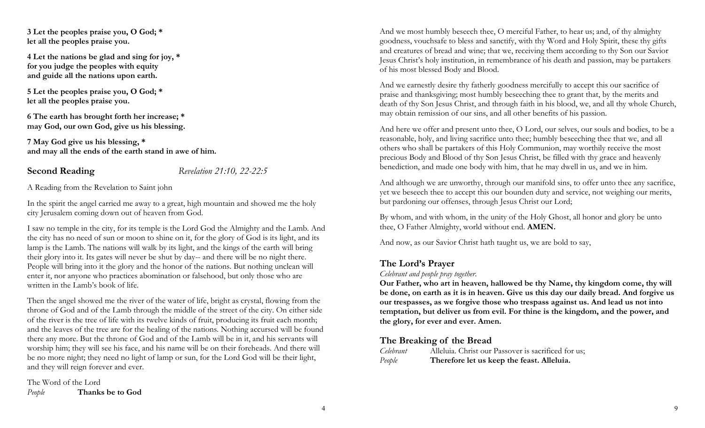**3 Let the peoples praise you, O God; \* let all the peoples praise you.**

**4 Let the nations be glad and sing for joy, \* for you judge the peoples with equity and guide all the nations upon earth.**

**5 Let the peoples praise you, O God; \* let all the peoples praise you.**

**6 The earth has brought forth her increase; \* may God, our own God, give us his blessing.**

**7 May God give us his blessing, \* and may all the ends of the earth stand in awe of him.**

**Second Reading** *Revelation 21:10, 22-22:5*

A Reading from the Revelation to Saint john

In the spirit the angel carried me away to a great, high mountain and showed me the holy city Jerusalem coming down out of heaven from God.

I saw no temple in the city, for its temple is the Lord God the Almighty and the Lamb. And the city has no need of sun or moon to shine on it, for the glory of God is its light, and its lamp is the Lamb. The nations will walk by its light, and the kings of the earth will bring their glory into it. Its gates will never be shut by day-- and there will be no night there. People will bring into it the glory and the honor of the nations. But nothing unclean will enter it, nor anyone who practices abomination or falsehood, but only those who are written in the Lamb's book of life.

Then the angel showed me the river of the water of life, bright as crystal, flowing from the throne of God and of the Lamb through the middle of the street of the city. On either side of the river is the tree of life with its twelve kinds of fruit, producing its fruit each month; and the leaves of the tree are for the healing of the nations. Nothing accursed will be found there any more. But the throne of God and of the Lamb will be in it, and his servants will worship him; they will see his face, and his name will be on their foreheads. And there will be no more night; they need no light of lamp or sun, for the Lord God will be their light, and they will reign forever and ever.

The Word of the Lord *People* **Thanks be to God**  And we most humbly beseech thee, O merciful Father, to hear us; and, of thy almighty goodness, vouchsafe to bless and sanctify, with thy Word and Holy Spirit, these thy gifts and creatures of bread and wine; that we, receiving them according to thy Son our Savior Jesus Christ's holy institution, in remembrance of his death and passion, may be partakers of his most blessed Body and Blood.

And we earnestly desire thy fatherly goodness mercifully to accept this our sacrifice of praise and thanksgiving; most humbly beseeching thee to grant that, by the merits and death of thy Son Jesus Christ, and through faith in his blood, we, and all thy whole Church, may obtain remission of our sins, and all other benefits of his passion.

And here we offer and present unto thee, O Lord, our selves, our souls and bodies, to be a reasonable, holy, and living sacrifice unto thee; humbly beseeching thee that we, and all others who shall be partakers of this Holy Communion, may worthily receive the most precious Body and Blood of thy Son Jesus Christ, be filled with thy grace and heavenly benediction, and made one body with him, that he may dwell in us, and we in him.

And although we are unworthy, through our manifold sins, to offer unto thee any sacrifice, yet we beseech thee to accept this our bounden duty and service, not weighing our merits, but pardoning our offenses, through Jesus Christ our Lord;

By whom, and with whom, in the unity of the Holy Ghost, all honor and glory be unto thee, O Father Almighty, world without end. **AMEN.**

And now, as our Savior Christ hath taught us, we are bold to say,

#### **The Lord's Prayer**

#### *Celebrant and people pray together*.

**Our Father, who art in heaven, hallowed be thy Name, thy kingdom come, thy will be done, on earth as it is in heaven. Give us this day our daily bread. And forgive us our trespasses, as we forgive those who trespass against us. And lead us not into temptation, but deliver us from evil. For thine is the kingdom, and the power, and the glory, for ever and ever. Amen.**

#### **The Breaking of the Bread**

| Celebrant | Alleluia. Christ our Passover is sacrificed for us; |
|-----------|-----------------------------------------------------|
| People    | Therefore let us keep the feast. Alleluia.          |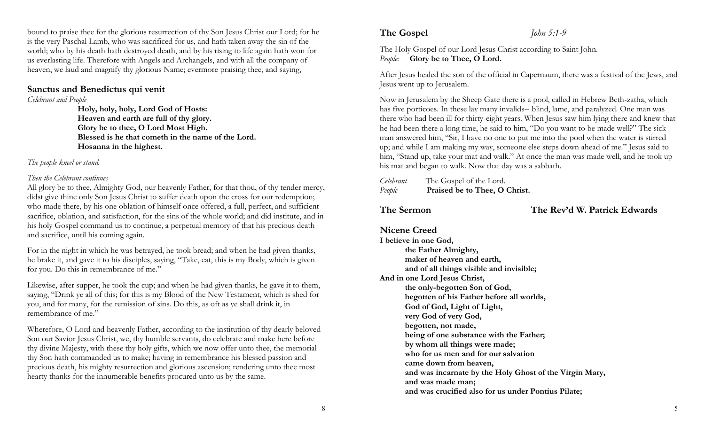bound to praise thee for the glorious resurrection of thy Son Jesus Christ our Lord; for he is the very Paschal Lamb, who was sacrificed for us, and hath taken away the sin of the world; who by his death hath destroyed death, and by his rising to life again hath won for us everlasting life. Therefore with Angels and Archangels, and with all the company of heaven, we laud and magnify thy glorious Name; evermore praising thee, and saying,

#### **Sanctus and Benedictus qui venit**

*Celebrant and People*

**Holy, holy, holy, Lord God of Hosts: Heaven and earth are full of thy glory. Glory be to thee, O Lord Most High. Blessed is he that cometh in the name of the Lord. Hosanna in the highest.**

#### *The people kneel or stand.*

#### *Then the Celebrant continues*

All glory be to thee, Almighty God, our heavenly Father, for that thou, of thy tender mercy, didst give thine only Son Jesus Christ to suffer death upon the cross for our redemption; who made there, by his one oblation of himself once offered, a full, perfect, and sufficient sacrifice, oblation, and satisfaction, for the sins of the whole world; and did institute, and in his holy Gospel command us to continue, a perpetual memory of that his precious death and sacrifice, until his coming again.

For in the night in which he was betrayed, he took bread; and when he had given thanks, he brake it, and gave it to his disciples, saying, "Take, eat, this is my Body, which is given for you. Do this in remembrance of me."

Likewise, after supper, he took the cup; and when he had given thanks, he gave it to them, saying, "Drink ye all of this; for this is my Blood of the New Testament, which is shed for you, and for many, for the remission of sins. Do this, as oft as ye shall drink it, in remembrance of me."

Wherefore, O Lord and heavenly Father, according to the institution of thy dearly beloved Son our Savior Jesus Christ, we, thy humble servants, do celebrate and make here before thy divine Majesty, with these thy holy gifts, which we now offer unto thee, the memorial thy Son hath commanded us to make; having in remembrance his blessed passion and precious death, his mighty resurrection and glorious ascension; rendering unto thee most hearty thanks for the innumerable benefits procured unto us by the same.

## **The Gospel** *John 5:1-9*

The Holy Gospel of our Lord Jesus Christ according to Saint John. *People:* **Glory be to Thee, O Lord.**

After Jesus healed the son of the official in Capernaum, there was a festival of the Jews, and Jesus went up to Jerusalem.

Now in Jerusalem by the Sheep Gate there is a pool, called in Hebrew Beth-zatha, which has five porticoes. In these lay many invalids-- blind, lame, and paralyzed. One man was there who had been ill for thirty-eight years. When Jesus saw him lying there and knew that he had been there a long time, he said to him, "Do you want to be made well?" The sick man answered him, "Sir, I have no one to put me into the pool when the water is stirred up; and while I am making my way, someone else steps down ahead of me." Jesus said to him, "Stand up, take your mat and walk." At once the man was made well, and he took up his mat and began to walk. Now that day was a sabbath.

*Celebrant* The Gospel of the Lord. *People* **Praised be to Thee, O Christ.**

**The Sermon The Rev'd W. Patrick Edwards**

#### **Nicene Creed I believe in one God,**

**the Father Almighty, maker of heaven and earth, and of all things visible and invisible; And in one Lord Jesus Christ, the only-begotten Son of God, begotten of his Father before all worlds, God of God, Light of Light, very God of very God, begotten, not made, being of one substance with the Father; by whom all things were made; who for us men and for our salvation came down from heaven, and was incarnate by the Holy Ghost of the Virgin Mary, and was made man; and was crucified also for us under Pontius Pilate;**